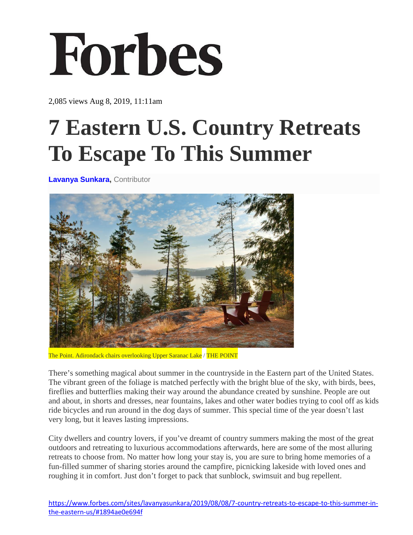# Forbes

2,085 views Aug 8, 2019, 11:11am

## **7 Eastern U.S. Country Retreats To Escape To This Summer**

**[Lavanya Sunkara,](https://www.forbes.com/sites/lavanyasunkara/) Contributor** 



The Point. Adirondack chairs overlooking Upper Saranac Lake / THE POINT

There's something magical about summer in the countryside in the Eastern part of the United States. The vibrant green of the foliage is matched perfectly with the bright blue of the sky, with birds, bees, fireflies and butterflies making their way around the abundance created by sunshine. People are out and about, in shorts and dresses, near fountains, lakes and other water bodies trying to cool off as kids ride bicycles and run around in the dog days of summer. This special time of the year doesn't last very long, but it leaves lasting impressions.

City dwellers and country lovers, if you've dreamt of country summers making the most of the great outdoors and retreating to luxurious accommodations afterwards, here are some of the most alluring retreats to choose from. No matter how long your stay is, you are sure to bring home memories of a fun-filled summer of sharing stories around the campfire, picnicking lakeside with loved ones and roughing it in comfort. Just don't forget to pack that sunblock, swimsuit and bug repellent.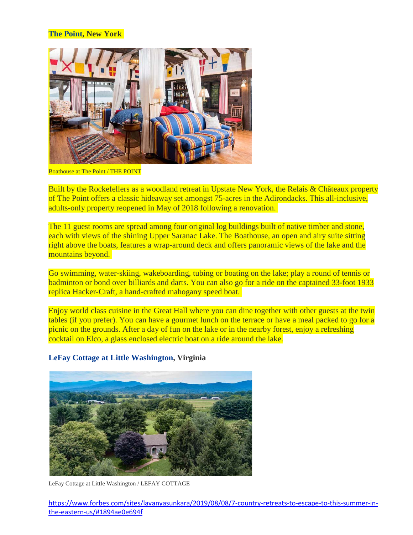#### **[The Point,](https://thepointresort.com/) New Yor[k](https://thepointresort.com/)**



Boathouse at The Point / THE POINT

Built by the Rockefellers as a woodland retreat in Upstate New York, the Relais & Châteaux property of The Point offers a classic hideaway set amongst 75-acres in the Adirondacks. This all-inclusive, adults-only property reopened in May of 2018 following a renovation.

The 11 guest rooms are spread among four original log buildings built of native timber and stone, each with views of the shining Upper Saranac Lake. The Boathouse, an open and airy suite sitting right above the boats, features a wrap-around deck and offers panoramic views of the lake and the mountains beyond.

Go swimming, water-skiing, wakeboarding, tubing or boating on the lake; play a round of tennis or badminton or bond over billiards and darts. You can also go for a ride on the captained 33-foot 1933 replica Hacker-Craft, a hand-crafted mahogany speed boat.

Enjoy world class cuisine in the Great Hall where you can dine together with other guests at the twin tables (if you prefer). You can have a gourmet lunch on the terrace or have a meal packed to go for a picnic on the grounds. After a day of fun on the lake or in the nearby forest, enjoy a refreshing cocktail on Elco, a glass enclosed electric boat on a ride around the lake.

#### **[LeFay Cottage at Little Washington,](https://lefaycottageatlittlewashington.com/) Virginia**



LeFay Cottage at Little Washington / LEFAY COTTAGE

[https://www.forbes.com/sites/lavanyasunkara/2019/08/08/7-country-retreats-to-escape-to-this-summer-in](https://www.forbes.com/sites/lavanyasunkara/2019/08/08/7-country-retreats-to-escape-to-this-summer-in-the-eastern-us/#1894ae0e694f)[the-eastern-us/#1894ae0e694f](https://www.forbes.com/sites/lavanyasunkara/2019/08/08/7-country-retreats-to-escape-to-this-summer-in-the-eastern-us/#1894ae0e694f)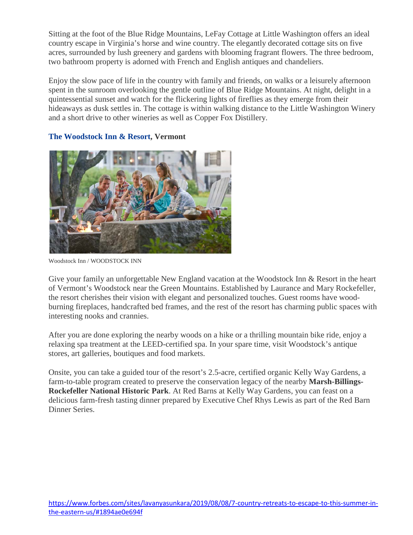Sitting at the foot of the Blue Ridge Mountains, LeFay Cottage at Little Washington offers an ideal country escape in Virginia's horse and wine country. The elegantly decorated cottage sits on five acres, surrounded by lush greenery and gardens with blooming fragrant flowers. The three bedroom, two bathroom property is adorned with French and English antiques and chandeliers.

Enjoy the slow pace of life in the country with family and friends, on walks or a leisurely afternoon spent in the sunroom overlooking the gentle outline of Blue Ridge Mountains. At night, delight in a quintessential sunset and watch for the flickering lights of fireflies as they emerge from their hideaways as dusk settles in. The cottage is within walking distance to the Little Washington Winery and a short drive to other wineries as well as Copper Fox Distillery.



#### **[The Woodstock Inn & Resort,](https://www.woodstockinn.com/) Vermont**

Woodstock Inn / WOODSTOCK INN

Give your family an unforgettable New England vacation at the Woodstock Inn & Resort in the heart of Vermont's Woodstock near the Green Mountains. Established by Laurance and Mary Rockefeller, the resort cherishes their vision with elegant and personalized touches. Guest rooms have woodburning fireplaces, handcrafted bed frames, and the rest of the resort has charming public spaces with interesting nooks and crannies.

After you are done exploring the nearby woods on a hike or a thrilling mountain bike ride, enjoy a relaxing spa treatment at the LEED-certified spa. In your spare time, visit Woodstock's antique stores, art galleries, boutiques and food markets.

Onsite, you can take a guided tour of the resort's 2.5-acre, certified organic Kelly Way Gardens, a farm-to-table program created to preserve the conservation legacy of the nearby **Marsh-Billings-Rockefeller National Historic Park**. At Red Barns at Kelly Way Gardens, you can feast on a delicious farm-fresh tasting dinner prepared by Executive Chef Rhys Lewis as part of the Red Barn Dinner Series.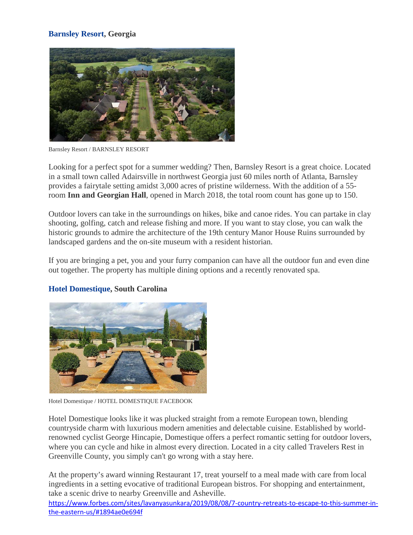#### **[Barnsley Resort,](https://www.barnsleyresort.com/) Georgia**



Barnsley Resort / BARNSLEY RESORT

Looking for a perfect spot for a summer wedding? Then, Barnsley Resort is a great choice. Located in a small town called Adairsville in northwest Georgia just 60 miles north of Atlanta, Barnsley provides a fairytale setting amidst 3,000 acres of pristine wilderness. With the addition of a 55 room **Inn and Georgian Hall**, opened in March 2018, the total room count has gone up to 150.

Outdoor lovers can take in the surroundings on hikes, bike and canoe rides. You can partake in clay shooting, golfing, catch and release fishing and more. If you want to stay close, you can walk the historic grounds to admire the architecture of the 19th century Manor House Ruins surrounded by landscaped gardens and the on-site museum with a resident historian.

If you are bringing a pet, you and your furry companion can have all the outdoor fun and even dine out together. The property has multiple dining options and a recently renovated spa.

#### **[Hotel Domestique,](http://hoteldomestique.com/) South Carolina**



Hotel Domestique / HOTEL DOMESTIQUE FACEBOOK

Hotel Domestique looks like it was plucked straight from a remote European town, blending countryside charm with luxurious modern amenities and delectable cuisine. Established by worldrenowned cyclist George Hincapie, Domestique offers a perfect romantic setting for outdoor lovers, where you can cycle and hike in almost every direction. Located in a city called Travelers Rest in Greenville County, you simply can't go wrong with a stay here.

At the property's award winning Restaurant 17, treat yourself to a meal made with care from local ingredients in a setting evocative of traditional European bistros. For shopping and entertainment, take a scenic drive to nearby Greenville and Asheville.

[https://www.forbes.com/sites/lavanyasunkara/2019/08/08/7-country-retreats-to-escape-to-this-summer-in](https://www.forbes.com/sites/lavanyasunkara/2019/08/08/7-country-retreats-to-escape-to-this-summer-in-the-eastern-us/#1894ae0e694f)[the-eastern-us/#1894ae0e694f](https://www.forbes.com/sites/lavanyasunkara/2019/08/08/7-country-retreats-to-escape-to-this-summer-in-the-eastern-us/#1894ae0e694f)